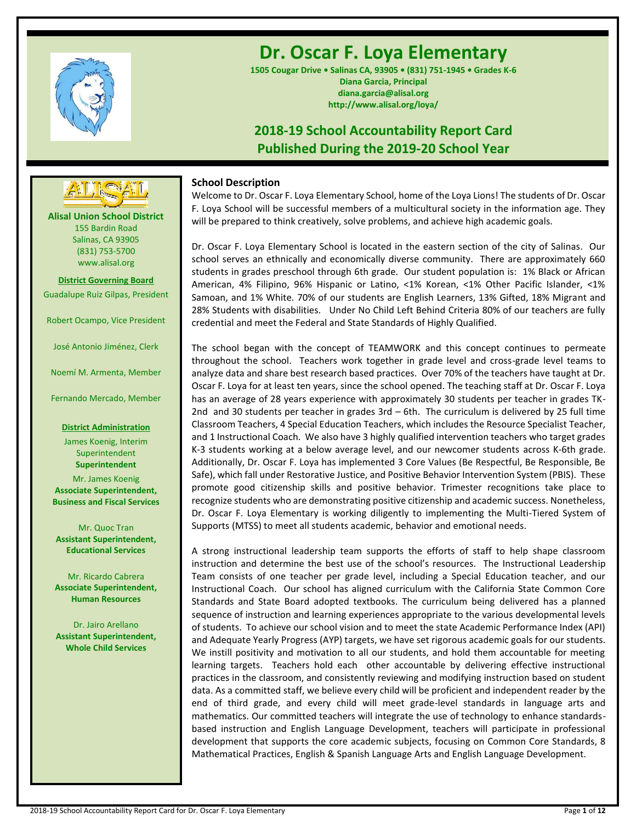

# **Dr. Oscar F. Loya Elementary**

**1505 Cougar Drive • Salinas CA, 93905 • (831) 751-1945 • Grades K-6 Diana Garcia, Principal diana.garcia@alisal.org http://www.alisal.org/loya/**

# **2018-19 School Accountability Report Card Published During the 2019-20 School Year**

# **School Description**

Welcome to Dr. Oscar F. Loya Elementary School, home of the Loya Lions! The students of Dr. Oscar F. Loya School will be successful members of a multicultural society in the information age. They will be prepared to think creatively, solve problems, and achieve high academic goals.

Dr. Oscar F. Loya Elementary School is located in the eastern section of the city of Salinas. Our school serves an ethnically and economically diverse community. There are approximately 660 students in grades preschool through 6th grade. Our student population is: 1% Black or African American, 4% Filipino, 96% Hispanic or Latino, <1% Korean, <1% Other Pacific Islander, <1% Samoan, and 1% White. 70% of our students are English Learners, 13% Gifted, 18% Migrant and 28% Students with disabilities. Under No Child Left Behind Criteria 80% of our teachers are fully credential and meet the Federal and State Standards of Highly Qualified.

The school began with the concept of TEAMWORK and this concept continues to permeate throughout the school. Teachers work together in grade level and cross-grade level teams to analyze data and share best research based practices. Over 70% of the teachers have taught at Dr. Oscar F. Loya for at least ten years, since the school opened. The teaching staff at Dr. Oscar F. Loya has an average of 28 years experience with approximately 30 students per teacher in grades TK-2nd and 30 students per teacher in grades 3rd – 6th. The curriculum is delivered by 25 full time Classroom Teachers, 4 Special Education Teachers, which includes the Resource Specialist Teacher, and 1 Instructional Coach. We also have 3 highly qualified intervention teachers who target grades K-3 students working at a below average level, and our newcomer students across K-6th grade. Additionally, Dr. Oscar F. Loya has implemented 3 Core Values (Be Respectful, Be Responsible, Be Safe), which fall under Restorative Justice, and Positive Behavior Intervention System (PBIS). These promote good citizenship skills and positive behavior. Trimester recognitions take place to recognize students who are demonstrating positive citizenship and academic success. Nonetheless, Dr. Oscar F. Loya Elementary is working diligently to implementing the Multi-Tiered System of Supports (MTSS) to meet all students academic, behavior and emotional needs.

A strong instructional leadership team supports the efforts of staff to help shape classroom instruction and determine the best use of the school's resources. The Instructional Leadership Team consists of one teacher per grade level, including a Special Education teacher, and our Instructional Coach. Our school has aligned curriculum with the California State Common Core Standards and State Board adopted textbooks. The curriculum being delivered has a planned sequence of instruction and learning experiences appropriate to the various developmental levels of students. To achieve our school vision and to meet the state Academic Performance Index (API) and Adequate Yearly Progress (AYP) targets, we have set rigorous academic goals for our students. We instill positivity and motivation to all our students, and hold them accountable for meeting learning targets. Teachers hold each other accountable by delivering effective instructional practices in the classroom, and consistently reviewing and modifying instruction based on student data. As a committed staff, we believe every child will be proficient and independent reader by the end of third grade, and every child will meet grade-level standards in language arts and mathematics. Our committed teachers will integrate the use of technology to enhance standardsbased instruction and English Language Development, teachers will participate in professional development that supports the core academic subjects, focusing on Common Core Standards, 8 Mathematical Practices, English & Spanish Language Arts and English Language Development.

**Alisal Union School District** 155 Bardin Road Salinas, CA 93905 (831) 753-5700 www.alisal.org **---- ----**

**District Governing Board** Guadalupe Ruiz Gilpas, President

Robert Ocampo, Vice President

José Antonio Jiménez, Clerk

Noemí M. Armenta, Member

Fernando Mercado, Member

**District Administration**

James Koenig, Interim Superintendent **Superintendent**

Mr. James Koenig **Associate Superintendent, Business and Fiscal Services**

Mr. Quoc Tran **Assistant Superintendent, Educational Services**

Mr. Ricardo Cabrera **Associate Superintendent, Human Resources**

Dr. Jairo Arellano **Assistant Superintendent, Whole Child Services**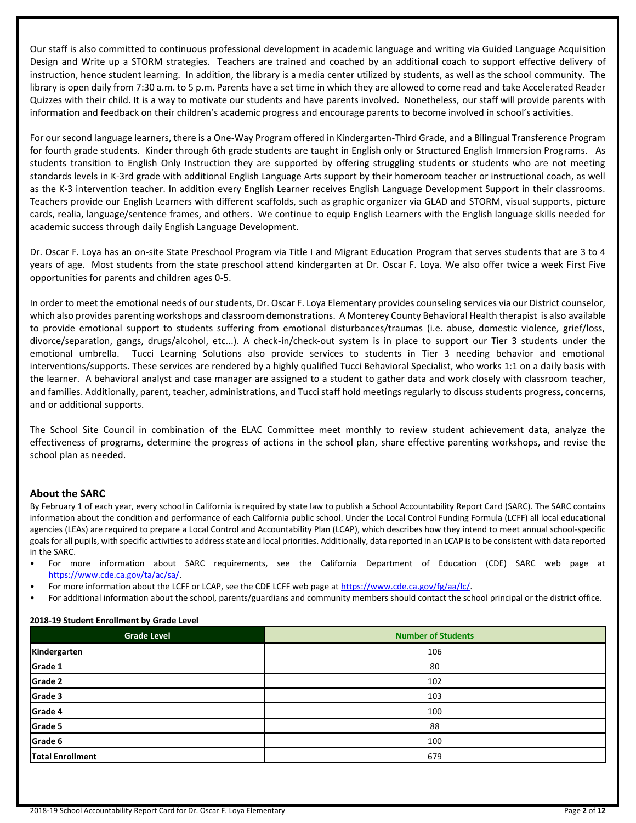Our staff is also committed to continuous professional development in academic language and writing via Guided Language Acquisition Design and Write up a STORM strategies. Teachers are trained and coached by an additional coach to support effective delivery of instruction, hence student learning. In addition, the library is a media center utilized by students, as well as the school community. The library is open daily from 7:30 a.m. to 5 p.m. Parents have a set time in which they are allowed to come read and take Accelerated Reader Quizzes with their child. It is a way to motivate our students and have parents involved. Nonetheless, our staff will provide parents with information and feedback on their children's academic progress and encourage parents to become involved in school's activities.

For our second language learners, there is a One-Way Program offered in Kindergarten-Third Grade, and a Bilingual Transference Program for fourth grade students. Kinder through 6th grade students are taught in English only or Structured English Immersion Programs. As students transition to English Only Instruction they are supported by offering struggling students or students who are not meeting standards levels in K-3rd grade with additional English Language Arts support by their homeroom teacher or instructional coach, as well as the K-3 intervention teacher. In addition every English Learner receives English Language Development Support in their classrooms. Teachers provide our English Learners with different scaffolds, such as graphic organizer via GLAD and STORM, visual supports, picture cards, realia, language/sentence frames, and others. We continue to equip English Learners with the English language skills needed for academic success through daily English Language Development.

Dr. Oscar F. Loya has an on-site State Preschool Program via Title I and Migrant Education Program that serves students that are 3 to 4 years of age. Most students from the state preschool attend kindergarten at Dr. Oscar F. Loya. We also offer twice a week First Five opportunities for parents and children ages 0-5.

In order to meet the emotional needs of our students, Dr. Oscar F. Loya Elementary provides counseling services via our District counselor, which also provides parenting workshops and classroom demonstrations. A Monterey County Behavioral Health therapist is also available to provide emotional support to students suffering from emotional disturbances/traumas (i.e. abuse, domestic violence, grief/loss, divorce/separation, gangs, drugs/alcohol, etc...). A check-in/check-out system is in place to support our Tier 3 students under the emotional umbrella. Tucci Learning Solutions also provide services to students in Tier 3 needing behavior and emotional interventions/supports. These services are rendered by a highly qualified Tucci Behavioral Specialist, who works 1:1 on a daily basis with the learner. A behavioral analyst and case manager are assigned to a student to gather data and work closely with classroom teacher, and families. Additionally, parent, teacher, administrations, and Tucci staff hold meetings regularly to discuss students progress, concerns, and or additional supports.

The School Site Council in combination of the ELAC Committee meet monthly to review student achievement data, analyze the effectiveness of programs, determine the progress of actions in the school plan, share effective parenting workshops, and revise the school plan as needed.

# **About the SARC**

By February 1 of each year, every school in California is required by state law to publish a School Accountability Report Card (SARC). The SARC contains information about the condition and performance of each California public school. Under the Local Control Funding Formula (LCFF) all local educational agencies (LEAs) are required to prepare a Local Control and Accountability Plan (LCAP), which describes how they intend to meet annual school-specific goals for all pupils, with specific activities to address state and local priorities. Additionally, data reported in an LCAP is to be consistent with data reported in the SARC.

- For more information about SARC requirements, see the California Department of Education (CDE) SARC web page at [https://www.cde.ca.gov/ta/ac/sa/.](https://www.cde.ca.gov/ta/ac/sa/)
- For more information about the LCFF or LCAP, see the CDE LCFF web page a[t https://www.cde.ca.gov/fg/aa/lc/.](https://www.cde.ca.gov/fg/aa/lc/)
- For additional information about the school, parents/guardians and community members should contact the school principal or the district office.

#### **2018-19 Student Enrollment by Grade Level**

| <b>Grade Level</b>      | <b>Number of Students</b> |  |  |
|-------------------------|---------------------------|--|--|
| Kindergarten            | 106                       |  |  |
| Grade 1                 | 80                        |  |  |
| Grade 2                 | 102                       |  |  |
| Grade 3                 | 103                       |  |  |
| Grade 4                 | 100                       |  |  |
| Grade 5                 | 88                        |  |  |
| Grade 6                 | 100                       |  |  |
| <b>Total Enrollment</b> | 679                       |  |  |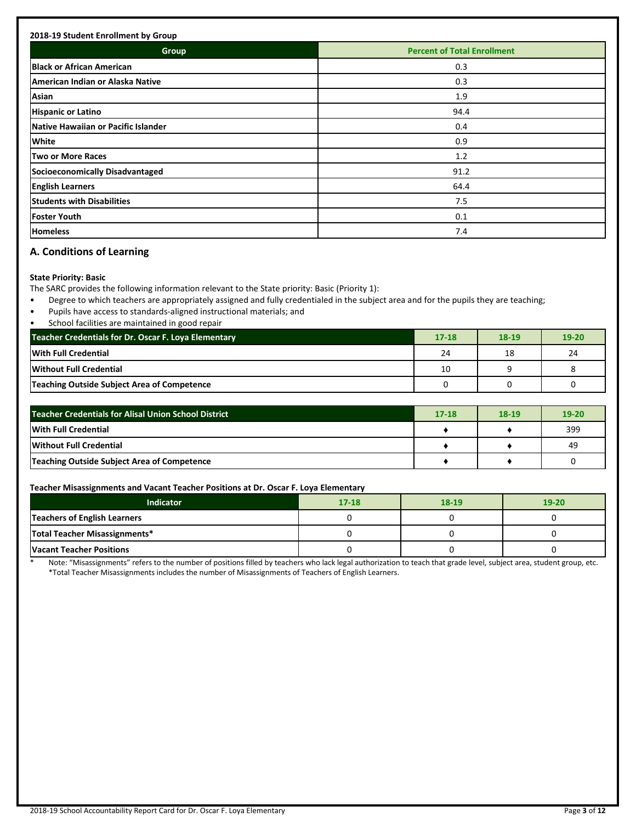| <b>Group</b>                        | <b>Percent of Total Enrollment</b> |
|-------------------------------------|------------------------------------|
|                                     |                                    |
| <b>Black or African American</b>    | 0.3                                |
| American Indian or Alaska Native    | 0.3                                |
| Asian                               | 1.9                                |
| <b>Hispanic or Latino</b>           | 94.4                               |
| Native Hawaiian or Pacific Islander | 0.4                                |
| <b>White</b>                        | 0.9                                |
| <b>Two or More Races</b>            | 1.2                                |
| Socioeconomically Disadvantaged     | 91.2                               |
| <b>English Learners</b>             | 64.4                               |
| <b>Students with Disabilities</b>   | 7.5                                |
| <b>Foster Youth</b>                 | 0.1                                |
| <b>Homeless</b>                     | 7.4                                |

# **A. Conditions of Learning**

## **State Priority: Basic**

The SARC provides the following information relevant to the State priority: Basic (Priority 1):

- Degree to which teachers are appropriately assigned and fully credentialed in the subject area and for the pupils they are teaching;
- Pupils have access to standards-aligned instructional materials; and
- School facilities are maintained in good repair

| Teacher Credentials for Dr. Oscar F. Loya Elementary | $17 - 18$ | 18-19 | $19 - 20$ |
|------------------------------------------------------|-----------|-------|-----------|
| With Full Credential                                 | 24        | 18    | 24        |
| <b>Without Full Credential</b>                       | 10        |       |           |
| Teaching Outside Subject Area of Competence          |           |       |           |

| <b>Teacher Credentials for Alisal Union School District</b> | $17 - 18$ | 18-19 | $19 - 20$ |
|-------------------------------------------------------------|-----------|-------|-----------|
| With Full Credential                                        |           |       | 399       |
| <b>Without Full Credential</b>                              |           |       | 49        |
| Teaching Outside Subject Area of Competence                 |           |       |           |

## **Teacher Misassignments and Vacant Teacher Positions at Dr. Oscar F. Loya Elementary**

| <b>Indicator</b>                | $17 - 18$ | 18-19 | $19 - 20$ |
|---------------------------------|-----------|-------|-----------|
| Teachers of English Learners    |           |       |           |
| Total Teacher Misassignments*   |           |       |           |
| <b>Vacant Teacher Positions</b> |           |       |           |

\* Note: "Misassignments" refers to the number of positions filled by teachers who lack legal authorization to teach that grade level, subject area, student group, etc. \*Total Teacher Misassignments includes the number of Misassignments of Teachers of English Learners.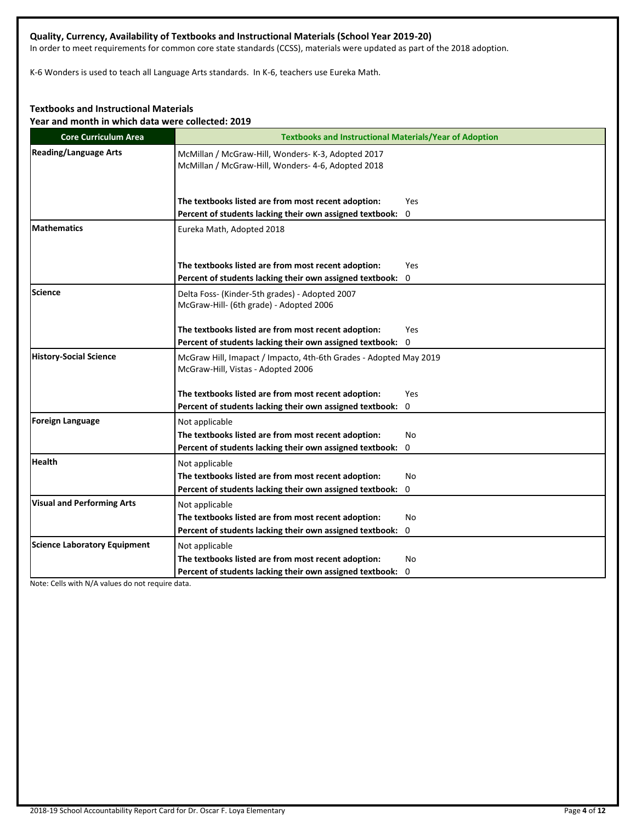# **Quality, Currency, Availability of Textbooks and Instructional Materials (School Year 2019-20)**

In order to meet requirements for common core state standards (CCSS), materials were updated as part of the 2018 adoption.

K-6 Wonders is used to teach all Language Arts standards. In K-6, teachers use Eureka Math.

# **Textbooks and Instructional Materials**

**Year and month in which data were collected: 2019**

| <b>Core Curriculum Area</b>         | <b>Textbooks and Instructional Materials/Year of Adoption</b>                                            |
|-------------------------------------|----------------------------------------------------------------------------------------------------------|
| <b>Reading/Language Arts</b>        | McMillan / McGraw-Hill, Wonders- K-3, Adopted 2017<br>McMillan / McGraw-Hill, Wonders- 4-6, Adopted 2018 |
|                                     | The textbooks listed are from most recent adoption:<br>Yes                                               |
|                                     | Percent of students lacking their own assigned textbook: 0                                               |
| <b>Mathematics</b>                  | Eureka Math, Adopted 2018                                                                                |
|                                     | The textbooks listed are from most recent adoption:<br>Yes                                               |
|                                     | Percent of students lacking their own assigned textbook:<br>0                                            |
| Science                             | Delta Foss- (Kinder-5th grades) - Adopted 2007<br>McGraw-Hill- (6th grade) - Adopted 2006                |
|                                     | The textbooks listed are from most recent adoption:<br>Yes                                               |
|                                     | Percent of students lacking their own assigned textbook: 0                                               |
| <b>History-Social Science</b>       | McGraw Hill, Imapact / Impacto, 4th-6th Grades - Adopted May 2019<br>McGraw-Hill, Vistas - Adopted 2006  |
|                                     | The textbooks listed are from most recent adoption:<br>Yes                                               |
|                                     | Percent of students lacking their own assigned textbook: 0                                               |
| Foreign Language                    | Not applicable                                                                                           |
|                                     | The textbooks listed are from most recent adoption:<br>No                                                |
|                                     | Percent of students lacking their own assigned textbook:<br>0                                            |
| <b>Health</b>                       | Not applicable                                                                                           |
|                                     | The textbooks listed are from most recent adoption:<br>No                                                |
|                                     | Percent of students lacking their own assigned textbook: 0                                               |
| <b>Visual and Performing Arts</b>   | Not applicable                                                                                           |
|                                     | The textbooks listed are from most recent adoption:<br>No                                                |
|                                     | Percent of students lacking their own assigned textbook: 0                                               |
| <b>Science Laboratory Equipment</b> | Not applicable                                                                                           |
|                                     | The textbooks listed are from most recent adoption:<br>No                                                |
|                                     | Percent of students lacking their own assigned textbook: 0                                               |

Note: Cells with N/A values do not require data.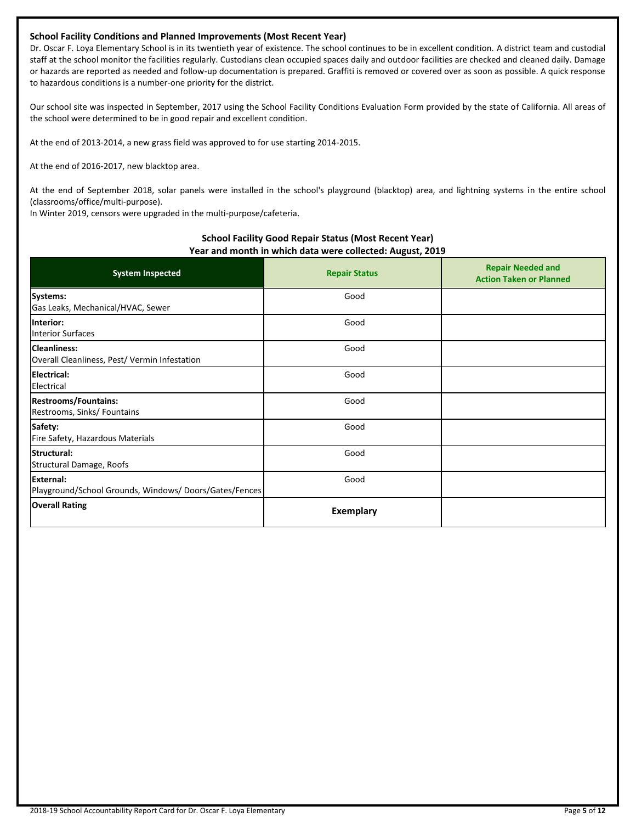# **School Facility Conditions and Planned Improvements (Most Recent Year)**

Dr. Oscar F. Loya Elementary School is in its twentieth year of existence. The school continues to be in excellent condition. A district team and custodial staff at the school monitor the facilities regularly. Custodians clean occupied spaces daily and outdoor facilities are checked and cleaned daily. Damage or hazards are reported as needed and follow-up documentation is prepared. Graffiti is removed or covered over as soon as possible. A quick response to hazardous conditions is a number-one priority for the district.

Our school site was inspected in September, 2017 using the School Facility Conditions Evaluation Form provided by the state of California. All areas of the school were determined to be in good repair and excellent condition.

At the end of 2013-2014, a new grass field was approved to for use starting 2014-2015.

At the end of 2016-2017, new blacktop area.

At the end of September 2018, solar panels were installed in the school's playground (blacktop) area, and lightning systems in the entire school (classrooms/office/multi-purpose).

In Winter 2019, censors were upgraded in the multi-purpose/cafeteria.

# **School Facility Good Repair Status (Most Recent Year) Year and month in which data were collected: August, 2019**

| <b>System Inspected</b>                                                   | <b>Repair Status</b> | <b>Repair Needed and</b><br><b>Action Taken or Planned</b> |
|---------------------------------------------------------------------------|----------------------|------------------------------------------------------------|
| Systems:<br>Gas Leaks, Mechanical/HVAC, Sewer                             | Good                 |                                                            |
| Interior:<br><b>Interior Surfaces</b>                                     | Good                 |                                                            |
| <b>Cleanliness:</b><br>Overall Cleanliness, Pest/ Vermin Infestation      | Good                 |                                                            |
| <b>IElectrical:</b><br>Electrical                                         | Good                 |                                                            |
| <b>Restrooms/Fountains:</b><br>Restrooms, Sinks/ Fountains                | Good                 |                                                            |
| Safety:<br>Fire Safety, Hazardous Materials                               | Good                 |                                                            |
| Structural:<br>Structural Damage, Roofs                                   | Good                 |                                                            |
| <b>External:</b><br>Playground/School Grounds, Windows/Doors/Gates/Fences | Good                 |                                                            |
| <b>Overall Rating</b>                                                     | <b>Exemplary</b>     |                                                            |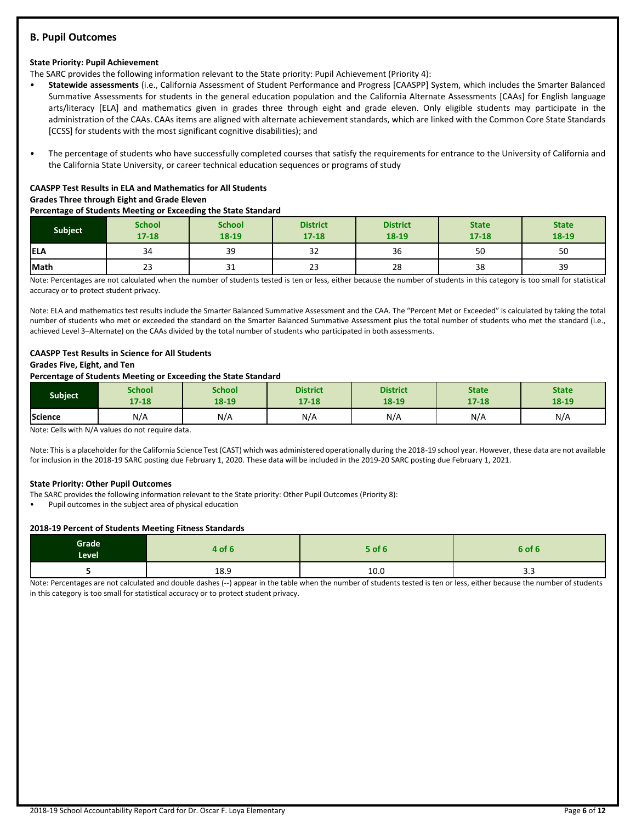# **B. Pupil Outcomes**

#### **State Priority: Pupil Achievement**

The SARC provides the following information relevant to the State priority: Pupil Achievement (Priority 4):

- **Statewide assessments** (i.e., California Assessment of Student Performance and Progress [CAASPP] System, which includes the Smarter Balanced Summative Assessments for students in the general education population and the California Alternate Assessments [CAAs] for English language arts/literacy [ELA] and mathematics given in grades three through eight and grade eleven. Only eligible students may participate in the administration of the CAAs. CAAs items are aligned with alternate achievement standards, which are linked with the Common Core State Standards [CCSS] for students with the most significant cognitive disabilities); and
- The percentage of students who have successfully completed courses that satisfy the requirements for entrance to the University of California and the California State University, or career technical education sequences or programs of study

## **CAASPP Test Results in ELA and Mathematics for All Students Grades Three through Eight and Grade Eleven**

#### **Percentage of Students Meeting or Exceeding the State Standard**

| <b>Subject</b> | <b>School</b><br>$17 - 18$ | <b>School</b><br>18-19 | <b>District</b><br>$17 - 18$ | <b>District</b><br>18-19 | <b>State</b><br>$17 - 18$ | <b>State</b><br>18-19 |
|----------------|----------------------------|------------------------|------------------------------|--------------------------|---------------------------|-----------------------|
| <b>IELA</b>    | 34                         | 39                     | $\sim$<br>32                 | 36                       | 50                        | 50                    |
| Math           | 23                         | 31                     | $\sim$<br>دے                 | 28                       | 38                        | 39                    |

Note: Percentages are not calculated when the number of students tested is ten or less, either because the number of students in this category is too small for statistical accuracy or to protect student privacy.

Note: ELA and mathematics test results include the Smarter Balanced Summative Assessment and the CAA. The "Percent Met or Exceeded" is calculated by taking the total number of students who met or exceeded the standard on the Smarter Balanced Summative Assessment plus the total number of students who met the standard (i.e., achieved Level 3–Alternate) on the CAAs divided by the total number of students who participated in both assessments.

# **CAASPP Test Results in Science for All Students**

# **Grades Five, Eight, and Ten**

# **Percentage of Students Meeting or Exceeding the State Standard**

| <b>Subject</b> | School | School | <b>District</b> | <b>District</b> | <b>State</b> | <b>State</b> |
|----------------|--------|--------|-----------------|-----------------|--------------|--------------|
|                | 17-18  | 18-19  | $17 - 18$       | 18-19           | 17-18        | 18-19        |
| <b>Science</b> | N/A    | N/A    | N/A             | N/A             | N/A          | N/A          |

Note: Cells with N/A values do not require data.

Note: This is a placeholder for the California Science Test (CAST) which was administered operationally during the 2018-19 school year. However, these data are not available for inclusion in the 2018-19 SARC posting due February 1, 2020. These data will be included in the 2019-20 SARC posting due February 1, 2021.

#### **State Priority: Other Pupil Outcomes**

The SARC provides the following information relevant to the State priority: Other Pupil Outcomes (Priority 8):

• Pupil outcomes in the subject area of physical education

#### **2018-19 Percent of Students Meeting Fitness Standards**

| Grade<br>Level | 4 of 6 | $5$ of $6$ | 6 of 6 |
|----------------|--------|------------|--------|
|                | 18.9   | 10.0       | ວ.ວ    |

Note: Percentages are not calculated and double dashes (--) appear in the table when the number of students tested is ten or less, either because the number of students in this category is too small for statistical accuracy or to protect student privacy.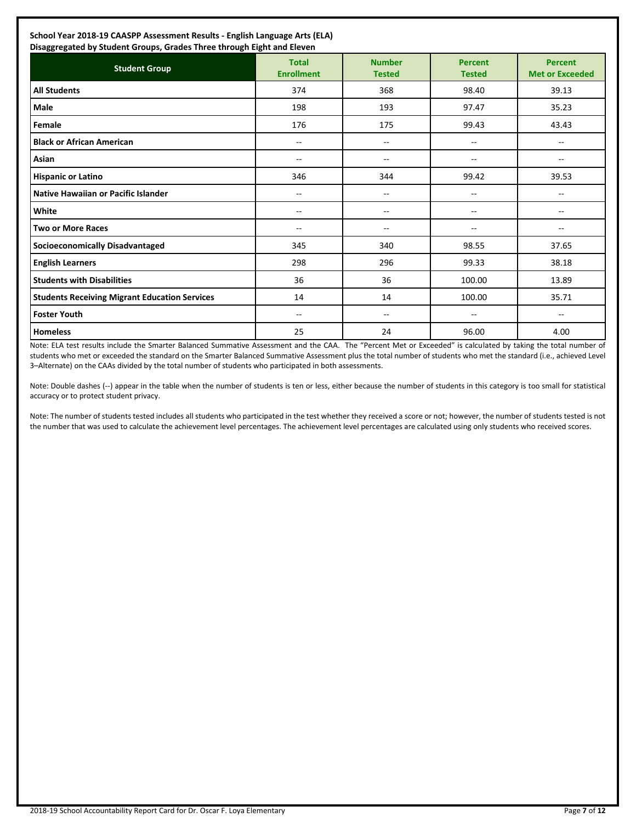| <b>Student Group</b>                                 | <b>Total</b><br><b>Enrollment</b> | <b>Number</b><br><b>Tested</b> | <b>Percent</b><br><b>Tested</b> | <b>Percent</b><br><b>Met or Exceeded</b> |
|------------------------------------------------------|-----------------------------------|--------------------------------|---------------------------------|------------------------------------------|
| <b>All Students</b>                                  | 374                               | 368                            | 98.40                           | 39.13                                    |
| Male                                                 | 198                               | 193                            | 97.47                           | 35.23                                    |
| Female                                               | 176                               | 175                            | 99.43                           | 43.43                                    |
| <b>Black or African American</b>                     | --                                | --                             | $- -$                           | $-$                                      |
| Asian                                                | $-$                               | $- -$                          | $- -$                           | $-$                                      |
| <b>Hispanic or Latino</b>                            | 346                               | 344                            | 99.42                           | 39.53                                    |
| Native Hawaiian or Pacific Islander                  | $-$                               | --                             | --                              | --                                       |
| White                                                | --                                | --                             | --                              | --                                       |
| <b>Two or More Races</b>                             | $- -$                             | $\overline{a}$                 | --                              | $\overline{a}$                           |
| <b>Socioeconomically Disadvantaged</b>               | 345                               | 340                            | 98.55                           | 37.65                                    |
| <b>English Learners</b>                              | 298                               | 296                            | 99.33                           | 38.18                                    |
| <b>Students with Disabilities</b>                    | 36                                | 36                             | 100.00                          | 13.89                                    |
| <b>Students Receiving Migrant Education Services</b> | 14                                | 14                             | 100.00                          | 35.71                                    |
| <b>Foster Youth</b>                                  | $-$                               | $- -$                          | --                              | $-$                                      |
| <b>Homeless</b>                                      | 25                                | 24                             | 96.00                           | 4.00                                     |

Note: ELA test results include the Smarter Balanced Summative Assessment and the CAA. The "Percent Met or Exceeded" is calculated by taking the total number of students who met or exceeded the standard on the Smarter Balanced Summative Assessment plus the total number of students who met the standard (i.e., achieved Level 3–Alternate) on the CAAs divided by the total number of students who participated in both assessments.

Note: Double dashes (--) appear in the table when the number of students is ten or less, either because the number of students in this category is too small for statistical accuracy or to protect student privacy.

Note: The number of students tested includes all students who participated in the test whether they received a score or not; however, the number of students tested is not the number that was used to calculate the achievement level percentages. The achievement level percentages are calculated using only students who received scores.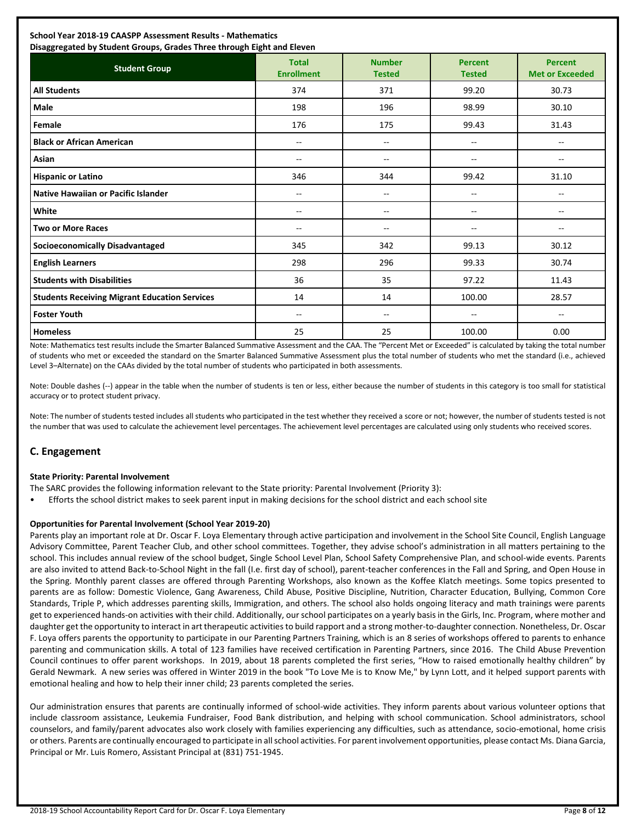# **School Year 2018-19 CAASPP Assessment Results - Mathematics**

| Disaggregated by Student Groups, Grades Three through Eight and Eleven |                                   |                                |                                 |                                          |  |
|------------------------------------------------------------------------|-----------------------------------|--------------------------------|---------------------------------|------------------------------------------|--|
| <b>Student Group</b>                                                   | <b>Total</b><br><b>Enrollment</b> | <b>Number</b><br><b>Tested</b> | <b>Percent</b><br><b>Tested</b> | <b>Percent</b><br><b>Met or Exceeded</b> |  |
| <b>All Students</b>                                                    | 374                               | 371                            | 99.20                           | 30.73                                    |  |
| Male                                                                   | 198                               | 196                            | 98.99                           | 30.10                                    |  |
| Female                                                                 | 176                               | 175                            | 99.43                           | 31.43                                    |  |
| <b>Black or African American</b>                                       | $\overline{\phantom{m}}$          | --                             | --                              | --                                       |  |
| Asian                                                                  | $\sim$                            | --                             | --                              | $\overline{\phantom{a}}$                 |  |
| <b>Hispanic or Latino</b>                                              | 346                               | 344                            | 99.42                           | 31.10                                    |  |
| Native Hawaiian or Pacific Islander                                    | $\sim$                            | --                             | --                              | --                                       |  |
| White                                                                  | $\sim$                            | --                             | $-$                             | $\overline{\phantom{a}}$                 |  |
| <b>Two or More Races</b>                                               | --                                | --                             | --                              | --                                       |  |
| <b>Socioeconomically Disadvantaged</b>                                 | 345                               | 342                            | 99.13                           | 30.12                                    |  |
| <b>English Learners</b>                                                | 298                               | 296                            | 99.33                           | 30.74                                    |  |
| <b>Students with Disabilities</b>                                      | 36                                | 35                             | 97.22                           | 11.43                                    |  |
| <b>Students Receiving Migrant Education Services</b>                   | 14                                | 14                             | 100.00                          | 28.57                                    |  |
| <b>Foster Youth</b>                                                    | $\overline{\phantom{a}}$          | --                             | $\overline{\phantom{a}}$        | $\overline{\phantom{a}}$                 |  |
| <b>Homeless</b>                                                        | 25                                | 25                             | 100.00                          | 0.00                                     |  |

Note: Mathematics test results include the Smarter Balanced Summative Assessment and the CAA. The "Percent Met or Exceeded" is calculated by taking the total number of students who met or exceeded the standard on the Smarter Balanced Summative Assessment plus the total number of students who met the standard (i.e., achieved Level 3–Alternate) on the CAAs divided by the total number of students who participated in both assessments.

Note: Double dashes (--) appear in the table when the number of students is ten or less, either because the number of students in this category is too small for statistical accuracy or to protect student privacy.

Note: The number of students tested includes all students who participated in the test whether they received a score or not; however, the number of students tested is not the number that was used to calculate the achievement level percentages. The achievement level percentages are calculated using only students who received scores.

# **C. Engagement**

## **State Priority: Parental Involvement**

The SARC provides the following information relevant to the State priority: Parental Involvement (Priority 3):

• Efforts the school district makes to seek parent input in making decisions for the school district and each school site

## **Opportunities for Parental Involvement (School Year 2019-20)**

Parents play an important role at Dr. Oscar F. Loya Elementary through active participation and involvement in the School Site Council, English Language Advisory Committee, Parent Teacher Club, and other school committees. Together, they advise school's administration in all matters pertaining to the school. This includes annual review of the school budget, Single School Level Plan, School Safety Comprehensive Plan, and school-wide events. Parents are also invited to attend Back-to-School Night in the fall (I.e. first day of school), parent-teacher conferences in the Fall and Spring, and Open House in the Spring. Monthly parent classes are offered through Parenting Workshops, also known as the Koffee Klatch meetings. Some topics presented to parents are as follow: Domestic Violence, Gang Awareness, Child Abuse, Positive Discipline, Nutrition, Character Education, Bullying, Common Core Standards, Triple P, which addresses parenting skills, Immigration, and others. The school also holds ongoing literacy and math trainings were parents get to experienced hands-on activities with their child. Additionally, our school participates on a yearly basis in the Girls, Inc. Program, where mother and daughter get the opportunity to interact in art therapeutic activities to build rapport and a strong mother-to-daughter connection. Nonetheless, Dr. Oscar F. Loya offers parents the opportunity to participate in our Parenting Partners Training, which is an 8 series of workshops offered to parents to enhance parenting and communication skills. A total of 123 families have received certification in Parenting Partners, since 2016. The Child Abuse Prevention Council continues to offer parent workshops. In 2019, about 18 parents completed the first series, "How to raised emotionally healthy children" by Gerald Newmark. A new series was offered in Winter 2019 in the book "To Love Me is to Know Me," by Lynn Lott, and it helped support parents with emotional healing and how to help their inner child; 23 parents completed the series.

Our administration ensures that parents are continually informed of school-wide activities. They inform parents about various volunteer options that include classroom assistance, Leukemia Fundraiser, Food Bank distribution, and helping with school communication. School administrators, school counselors, and family/parent advocates also work closely with families experiencing any difficulties, such as attendance, socio-emotional, home crisis or others. Parents are continually encouraged to participate in all school activities. For parent involvement opportunities, please contact Ms. Diana Garcia, Principal or Mr. Luis Romero, Assistant Principal at (831) 751-1945.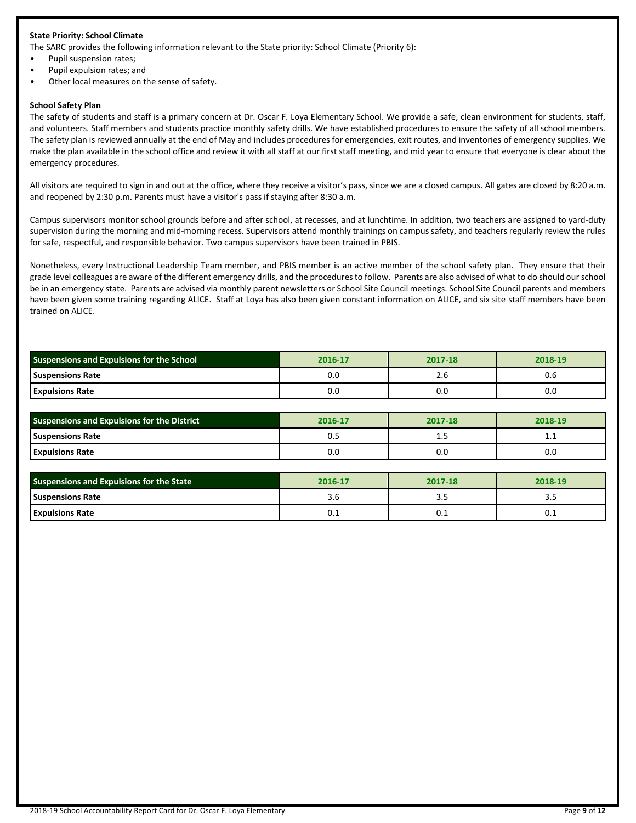## **State Priority: School Climate**

The SARC provides the following information relevant to the State priority: School Climate (Priority 6):

- Pupil suspension rates;
- Pupil expulsion rates; and
- Other local measures on the sense of safety.

#### **School Safety Plan**

The safety of students and staff is a primary concern at Dr. Oscar F. Loya Elementary School. We provide a safe, clean environment for students, staff, and volunteers. Staff members and students practice monthly safety drills. We have established procedures to ensure the safety of all school members. The safety plan is reviewed annually at the end of May and includes procedures for emergencies, exit routes, and inventories of emergency supplies. We make the plan available in the school office and review it with all staff at our first staff meeting, and mid year to ensure that everyone is clear about the emergency procedures.

All visitors are required to sign in and out at the office, where they receive a visitor's pass, since we are a closed campus. All gates are closed by 8:20 a.m. and reopened by 2:30 p.m. Parents must have a visitor's pass if staying after 8:30 a.m.

Campus supervisors monitor school grounds before and after school, at recesses, and at lunchtime. In addition, two teachers are assigned to yard-duty supervision during the morning and mid-morning recess. Supervisors attend monthly trainings on campus safety, and teachers regularly review the rules for safe, respectful, and responsible behavior. Two campus supervisors have been trained in PBIS.

Nonetheless, every Instructional Leadership Team member, and PBIS member is an active member of the school safety plan. They ensure that their grade level colleagues are aware of the different emergency drills, and the procedures to follow. Parents are also advised of what to do should our school be in an emergency state. Parents are advised via monthly parent newsletters or School Site Council meetings. School Site Council parents and members have been given some training regarding ALICE. Staff at Loya has also been given constant information on ALICE, and six site staff members have been trained on ALICE.

| <b>Suspensions and Expulsions for the School</b> | 2016-17 | 2017-18 | 2018-19 |
|--------------------------------------------------|---------|---------|---------|
| <b>Suspensions Rate</b>                          | U.C     | z.o     | U.6     |
| <b>Expulsions Rate</b>                           | 0.C     | 0.0     | 0.0     |

| <b>Suspensions and Expulsions for the District</b> | 2016-17 | 2017-18 | 2018-19  |
|----------------------------------------------------|---------|---------|----------|
| <b>Suspensions Rate</b>                            | υ.:     | ن       | <b>.</b> |
| <b>Expulsions Rate</b>                             | 0.0     | 0.0     | 0.0      |

| <b>Suspensions and Expulsions for the State</b> | 2016-17 | 2017-18 | 2018-19 |
|-------------------------------------------------|---------|---------|---------|
| <b>Suspensions Rate</b>                         | 3.C     |         |         |
| <b>Expulsions Rate</b>                          | U.L     | U.L     | U.L     |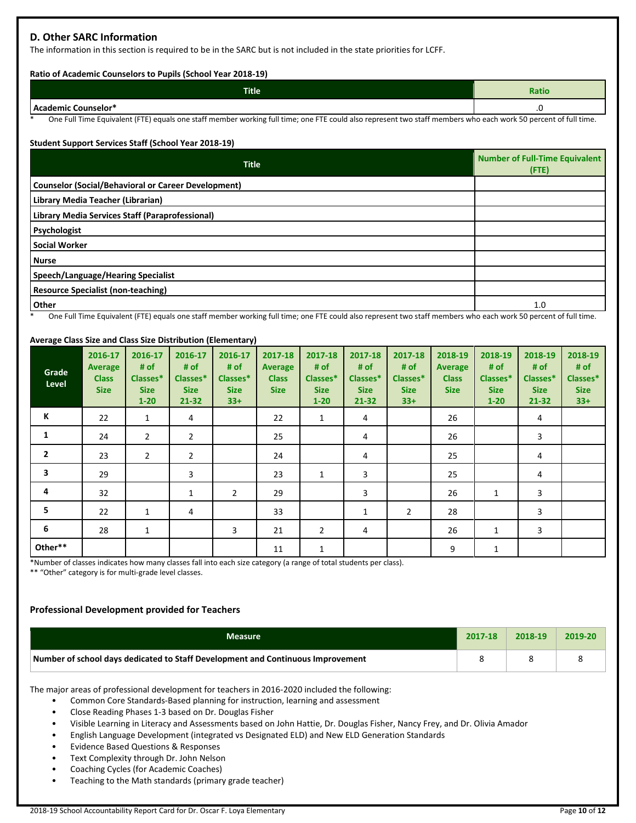# **D. Other SARC Information**

The information in this section is required to be in the SARC but is not included in the state priorities for LCFF.

### **Ratio of Academic Counselors to Pupils (School Year 2018-19)**

| <b>Title</b>        | <b>Ratio</b> |
|---------------------|--------------|
| Academic Counselor* | ں.           |

One Full Time Equivalent (FTE) equals one staff member working full time; one FTE could also represent two staff members who each work 50 percent of full time.

## **Student Support Services Staff (School Year 2018-19)**

| <b>Counselor (Social/Behavioral or Career Development)</b><br>Library Media Teacher (Librarian) | <b>Number of Full-Time Equivalent</b><br>(FTE) |
|-------------------------------------------------------------------------------------------------|------------------------------------------------|
|                                                                                                 |                                                |
|                                                                                                 |                                                |
| Library Media Services Staff (Paraprofessional)                                                 |                                                |
| Psychologist                                                                                    |                                                |
| <b>Social Worker</b>                                                                            |                                                |
| <b>Nurse</b>                                                                                    |                                                |
| Speech/Language/Hearing Specialist                                                              |                                                |
| <b>Resource Specialist (non-teaching)</b>                                                       |                                                |
| Other                                                                                           | 1.0                                            |

One Full Time Equivalent (FTE) equals one staff member working full time; one FTE could also represent two staff members who each work 50 percent of full time.

## **Average Class Size and Class Size Distribution (Elementary)**

| Grade<br>Level | 2016-17<br>Average<br><b>Class</b><br><b>Size</b> | 2016-17<br># of<br>Classes*<br><b>Size</b><br>$1 - 20$ | 2016-17<br># of<br>Classes*<br><b>Size</b><br>$21 - 32$ | 2016-17<br># of<br>Classes*<br><b>Size</b><br>$33+$ | 2017-18<br>Average<br><b>Class</b><br><b>Size</b> | 2017-18<br># of<br>Classes*<br><b>Size</b><br>$1 - 20$ | 2017-18<br># of<br>Classes*<br><b>Size</b><br>21-32 | 2017-18<br># of<br>Classes*<br><b>Size</b><br>$33+$ | 2018-19<br><b>Average</b><br><b>Class</b><br><b>Size</b> | 2018-19<br># of<br>Classes*<br><b>Size</b><br>$1 - 20$ | 2018-19<br># of<br>Classes*<br><b>Size</b><br>$21 - 32$ | 2018-19<br># of<br>Classes*<br><b>Size</b><br>$33+$ |
|----------------|---------------------------------------------------|--------------------------------------------------------|---------------------------------------------------------|-----------------------------------------------------|---------------------------------------------------|--------------------------------------------------------|-----------------------------------------------------|-----------------------------------------------------|----------------------------------------------------------|--------------------------------------------------------|---------------------------------------------------------|-----------------------------------------------------|
| К              | 22                                                | $\mathbf{1}$                                           | 4                                                       |                                                     | 22                                                | $\mathbf{1}$                                           | 4                                                   |                                                     | 26                                                       |                                                        | 4                                                       |                                                     |
| 1              | 24                                                | $\overline{2}$                                         | $\overline{2}$                                          |                                                     | 25                                                |                                                        | 4                                                   |                                                     | 26                                                       |                                                        | 3                                                       |                                                     |
| $\overline{2}$ | 23                                                | $\overline{2}$                                         | 2                                                       |                                                     | 24                                                |                                                        | 4                                                   |                                                     | 25                                                       |                                                        | 4                                                       |                                                     |
| 3              | 29                                                |                                                        | 3                                                       |                                                     | 23                                                | $\mathbf{1}$                                           | 3                                                   |                                                     | 25                                                       |                                                        | 4                                                       |                                                     |
| 4              | 32                                                |                                                        | 1                                                       | $\overline{2}$                                      | 29                                                |                                                        | 3                                                   |                                                     | 26                                                       | 1                                                      | 3                                                       |                                                     |
| 5              | 22                                                | 1                                                      | 4                                                       |                                                     | 33                                                |                                                        | 1                                                   | $\overline{2}$                                      | 28                                                       |                                                        | 3                                                       |                                                     |
| 6              | 28                                                | $\mathbf{1}$                                           |                                                         | 3                                                   | 21                                                | $\overline{2}$                                         | 4                                                   |                                                     | 26                                                       | $\mathbf{1}$                                           | 3                                                       |                                                     |
| Other**        |                                                   |                                                        |                                                         |                                                     | 11                                                | $\mathbf{1}$                                           |                                                     |                                                     | 9                                                        | 1                                                      |                                                         |                                                     |

\*Number of classes indicates how many classes fall into each size category (a range of total students per class).

\*\* "Other" category is for multi-grade level classes.

## **Professional Development provided for Teachers**

| <b>Measure</b>                                                                  | 2017-18 | 2018-19 | 2019-20 |
|---------------------------------------------------------------------------------|---------|---------|---------|
| Number of school days dedicated to Staff Development and Continuous Improvement |         |         |         |

The major areas of professional development for teachers in 2016-2020 included the following:

• Common Core Standards-Based planning for instruction, learning and assessment

• Close Reading Phases 1-3 based on Dr. Douglas Fisher

• Visible Learning in Literacy and Assessments based on John Hattie, Dr. Douglas Fisher, Nancy Frey, and Dr. Olivia Amador

• English Language Development (integrated vs Designated ELD) and New ELD Generation Standards

• Evidence Based Questions & Responses

• Text Complexity through Dr. John Nelson

• Coaching Cycles (for Academic Coaches)

• Teaching to the Math standards (primary grade teacher)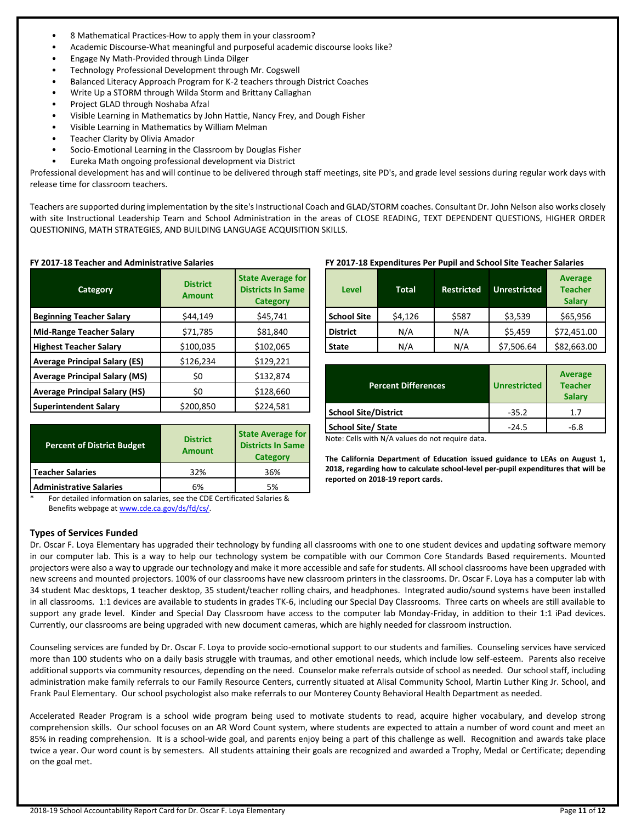- 8 Mathematical Practices-How to apply them in your classroom?
- Academic Discourse-What meaningful and purposeful academic discourse looks like?
- Engage Ny Math-Provided through Linda Dilger
- Technology Professional Development through Mr. Cogswell
- Balanced Literacy Approach Program for K-2 teachers through District Coaches
- Write Up a STORM through Wilda Storm and Brittany Callaghan
- Project GLAD through Noshaba Afzal
- Visible Learning in Mathematics by John Hattie, Nancy Frey, and Dough Fisher
- Visible Learning in Mathematics by William Melman
- Teacher Clarity by Olivia Amador
- Socio-Emotional Learning in the Classroom by Douglas Fisher
- Eureka Math ongoing professional development via District

Professional development has and will continue to be delivered through staff meetings, site PD's, and grade level sessions during regular work days with release time for classroom teachers.

Teachers are supported during implementation by the site's Instructional Coach and GLAD/STORM coaches. Consultant Dr. John Nelson also works closely with site Instructional Leadership Team and School Administration in the areas of CLOSE READING, TEXT DEPENDENT QUESTIONS, HIGHER ORDER QUESTIONING, MATH STRATEGIES, AND BUILDING LANGUAGE ACQUISITION SKILLS.

| Category                             | <b>District</b><br><b>Amount</b> | <b>State Average for</b><br><b>Districts In Same</b><br><b>Category</b> |  |
|--------------------------------------|----------------------------------|-------------------------------------------------------------------------|--|
| <b>Beginning Teacher Salary</b>      | \$44,149                         | \$45,741                                                                |  |
| <b>Mid-Range Teacher Salary</b>      | \$71,785                         | \$81,840                                                                |  |
| <b>Highest Teacher Salary</b>        | \$100,035                        | \$102,065                                                               |  |
| <b>Average Principal Salary (ES)</b> | \$126,234                        | \$129,221                                                               |  |
| <b>Average Principal Salary (MS)</b> | \$0                              | \$132,874                                                               |  |
| <b>Average Principal Salary (HS)</b> | \$0                              | \$128,660                                                               |  |
| <b>Superintendent Salary</b>         | \$200,850                        | \$224,581                                                               |  |

#### **FY 2017-18 Teacher and Administrative Salaries**

| <b>Percent of District Budget</b> | <b>District</b><br><b>Amount</b> | <b>State Average for</b><br><b>Districts In Same</b><br>Category |
|-----------------------------------|----------------------------------|------------------------------------------------------------------|
| <b>Teacher Salaries</b>           | 32%                              | 36%                                                              |
| <b>Administrative Salaries</b>    | 6%                               | 5%                                                               |

For detailed information on salaries, see the CDE Certificated Salaries & Benefits webpage a[t www.cde.ca.gov/ds/fd/cs/.](http://www.cde.ca.gov/ds/fd/cs/)

## **Types of Services Funded**

## **FY 2017-18 Expenditures Per Pupil and School Site Teacher Salaries**

| <b>Level</b>       | <b>Total</b> | <b>Restricted</b> | <b>Unrestricted</b> | <b>Average</b><br><b>Teacher</b><br><b>Salary</b> |
|--------------------|--------------|-------------------|---------------------|---------------------------------------------------|
| <b>School Site</b> | \$4,126      | \$587             | \$3,539             | \$65,956                                          |
| <b>District</b>    | N/A          | N/A               | \$5,459             | \$72,451.00                                       |
| <b>State</b>       | N/A          | N/A               | \$7,506.64          | \$82,663.00                                       |

| <b>Percent Differences</b>  | <b>Unrestricted</b> | Average<br><b>Teacher</b><br><b>Salary</b> |
|-----------------------------|---------------------|--------------------------------------------|
| <b>School Site/District</b> | $-35.2$             | 1.7                                        |
| <b>School Site/ State</b>   | $-24.5$             | -6.8                                       |

Note: Cells with N/A values do not require data.

**The California Department of Education issued guidance to LEAs on August 1, 2018, regarding how to calculate school-level per-pupil expenditures that will be reported on 2018-19 report cards.**

Dr. Oscar F. Loya Elementary has upgraded their technology by funding all classrooms with one to one student devices and updating software memory in our computer lab. This is a way to help our technology system be compatible with our Common Core Standards Based requirements. Mounted projectors were also a way to upgrade our technology and make it more accessible and safe for students. All school classrooms have been upgraded with new screens and mounted projectors. 100% of our classrooms have new classroom printers in the classrooms. Dr. Oscar F. Loya has a computer lab with 34 student Mac desktops, 1 teacher desktop, 35 student/teacher rolling chairs, and headphones. Integrated audio/sound systems have been installed in all classrooms. 1:1 devices are available to students in grades TK-6, including our Special Day Classrooms. Three carts on wheels are still available to support any grade level. Kinder and Special Day Classroom have access to the computer lab Monday-Friday, in addition to their 1:1 iPad devices. Currently, our classrooms are being upgraded with new document cameras, which are highly needed for classroom instruction.

Counseling services are funded by Dr. Oscar F. Loya to provide socio-emotional support to our students and families. Counseling services have serviced more than 100 students who on a daily basis struggle with traumas, and other emotional needs, which include low self-esteem. Parents also receive additional supports via community resources, depending on the need. Counselor make referrals outside of school as needed. Our school staff, including administration make family referrals to our Family Resource Centers, currently situated at Alisal Community School, Martin Luther King Jr. School, and Frank Paul Elementary. Our school psychologist also make referrals to our Monterey County Behavioral Health Department as needed.

Accelerated Reader Program is a school wide program being used to motivate students to read, acquire higher vocabulary, and develop strong comprehension skills. Our school focuses on an AR Word Count system, where students are expected to attain a number of word count and meet an 85% in reading comprehension. It is a school-wide goal, and parents enjoy being a part of this challenge as well. Recognition and awards take place twice a year. Our word count is by semesters. All students attaining their goals are recognized and awarded a Trophy, Medal or Certificate; depending on the goal met.